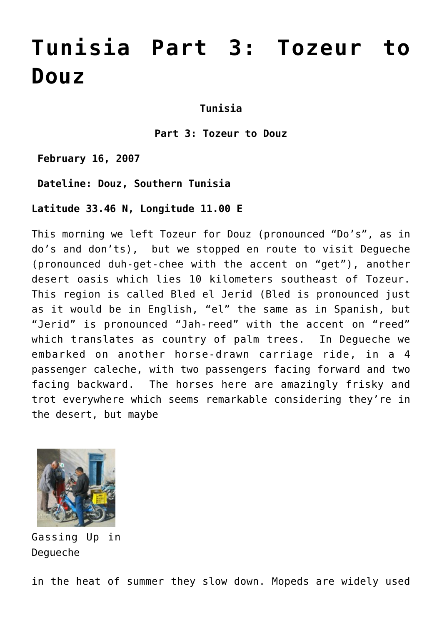# **[Tunisia Part 3: Tozeur to](https://thewanderingstar.net/tunisia-part-3-tozeur-to-douz/) [Douz](https://thewanderingstar.net/tunisia-part-3-tozeur-to-douz/)**

# **Tunisia**

### **Part 3: Tozeur to Douz**

**February 16, 2007**

**Dateline: Douz, Southern Tunisia**

**Latitude 33.46 N, Longitude 11.00 E**

This morning we left Tozeur for Douz (pronounced "Do's", as in do's and don'ts), but we stopped en route to visit Degueche (pronounced duh-get-chee with the accent on "get"), another desert oasis which lies 10 kilometers southeast of Tozeur. This region is called Bled el Jerid (Bled is pronounced just as it would be in English, "el" the same as in Spanish, but "Jerid" is pronounced "Jah-reed" with the accent on "reed" which translates as country of palm trees. In Degueche we embarked on another horse-drawn carriage ride, in a 4 passenger caleche, with two passengers facing forward and two facing backward. The horses here are amazingly frisky and trot everywhere which seems remarkable considering they're in the desert, but maybe



Gassing Up in Degueche

in the heat of summer they slow down. Mopeds are widely used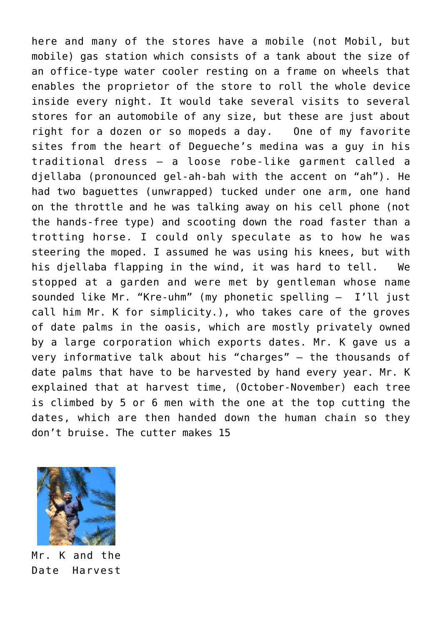here and many of the stores have a mobile (not Mobil, but mobile) gas station which consists of a tank about the size of an office-type water cooler resting on a frame on wheels that enables the proprietor of the store to roll the whole device inside every night. It would take several visits to several stores for an automobile of any size, but these are just about right for a dozen or so mopeds a day. One of my favorite sites from the heart of Degueche's medina was a guy in his traditional dress – a loose robe-like garment called a djellaba (pronounced gel-ah-bah with the accent on "ah"). He had two baguettes (unwrapped) tucked under one arm, one hand on the throttle and he was talking away on his cell phone (not the hands-free type) and scooting down the road faster than a trotting horse. I could only speculate as to how he was steering the moped. I assumed he was using his knees, but with his djellaba flapping in the wind, it was hard to tell. We stopped at a garden and were met by gentleman whose name sounded like Mr. "Kre-uhm" (my phonetic spelling – I'll just call him Mr. K for simplicity.), who takes care of the groves of date palms in the oasis, which are mostly privately owned by a large corporation which exports dates. Mr. K gave us a very informative talk about his "charges" – the thousands of date palms that have to be harvested by hand every year. Mr. K explained that at harvest time, (October-November) each tree is climbed by 5 or 6 men with the one at the top cutting the dates, which are then handed down the human chain so they don't bruise. The cutter makes 15



Mr. K and the Date Harvest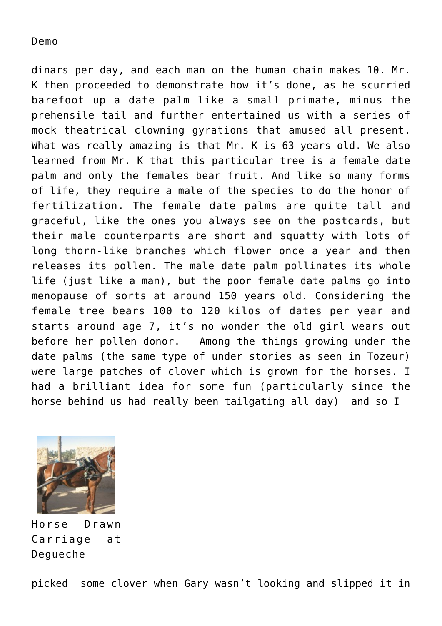#### Demo

dinars per day, and each man on the human chain makes 10. Mr. K then proceeded to demonstrate how it's done, as he scurried barefoot up a date palm like a small primate, minus the prehensile tail and further entertained us with a series of mock theatrical clowning gyrations that amused all present. What was really amazing is that Mr. K is 63 years old. We also learned from Mr. K that this particular tree is a female date palm and only the females bear fruit. And like so many forms of life, they require a male of the species to do the honor of fertilization. The female date palms are quite tall and graceful, like the ones you always see on the postcards, but their male counterparts are short and squatty with lots of long thorn-like branches which flower once a year and then releases its pollen. The male date palm pollinates its whole life (just like a man), but the poor female date palms go into menopause of sorts at around 150 years old. Considering the female tree bears 100 to 120 kilos of dates per year and starts around age 7, it's no wonder the old girl wears out before her pollen donor. Among the things growing under the date palms (the same type of under stories as seen in Tozeur) were large patches of clover which is grown for the horses. I had a brilliant idea for some fun (particularly since the horse behind us had really been tailgating all day) and so I



Horse Drawn Carriage at Degueche

picked some clover when Gary wasn't looking and slipped it in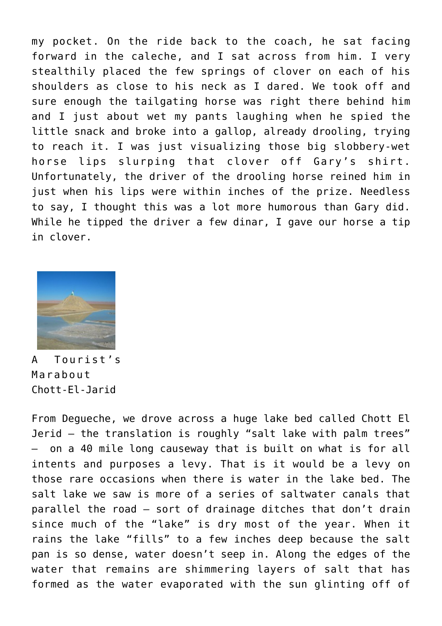my pocket. On the ride back to the coach, he sat facing forward in the caleche, and I sat across from him. I very stealthily placed the few springs of clover on each of his shoulders as close to his neck as I dared. We took off and sure enough the tailgating horse was right there behind him and I just about wet my pants laughing when he spied the little snack and broke into a gallop, already drooling, trying to reach it. I was just visualizing those big slobbery-wet horse lips slurping that clover off Gary's shirt. Unfortunately, the driver of the drooling horse reined him in just when his lips were within inches of the prize. Needless to say, I thought this was a lot more humorous than Gary did. While he tipped the driver a few dinar, I gave our horse a tip in clover.



A Tourist's Marabout Chott-El-Jarid

From Degueche, we drove across a huge lake bed called Chott El Jerid – the translation is roughly "salt lake with palm trees" – on a 40 mile long causeway that is built on what is for all intents and purposes a levy. That is it would be a levy on those rare occasions when there is water in the lake bed. The salt lake we saw is more of a series of saltwater canals that parallel the road – sort of drainage ditches that don't drain since much of the "lake" is dry most of the year. When it rains the lake "fills" to a few inches deep because the salt pan is so dense, water doesn't seep in. Along the edges of the water that remains are shimmering layers of salt that has formed as the water evaporated with the sun glinting off of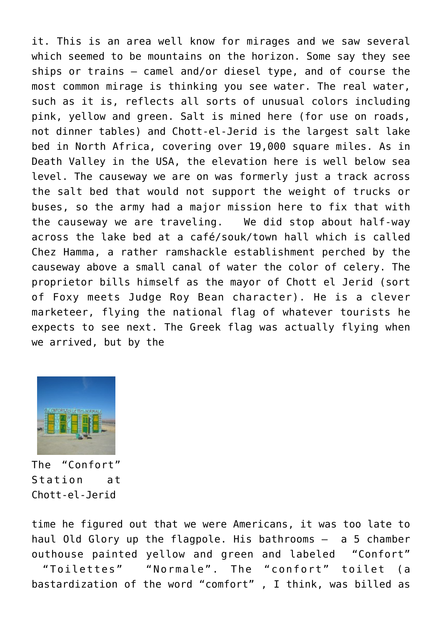it. This is an area well know for mirages and we saw several which seemed to be mountains on the horizon. Some say they see ships or trains – camel and/or diesel type, and of course the most common mirage is thinking you see water. The real water, such as it is, reflects all sorts of unusual colors including pink, yellow and green. Salt is mined here (for use on roads, not dinner tables) and Chott-el-Jerid is the largest salt lake bed in North Africa, covering over 19,000 square miles. As in Death Valley in the USA, the elevation here is well below sea level. The causeway we are on was formerly just a track across the salt bed that would not support the weight of trucks or buses, so the army had a major mission here to fix that with the causeway we are traveling. We did stop about half-way across the lake bed at a café/souk/town hall which is called Chez Hamma, a rather ramshackle establishment perched by the causeway above a small canal of water the color of celery. The proprietor bills himself as the mayor of Chott el Jerid (sort of Foxy meets Judge Roy Bean character). He is a clever marketeer, flying the national flag of whatever tourists he expects to see next. The Greek flag was actually flying when we arrived, but by the



The "Confort" Station at Chott-el-Jerid

time he figured out that we were Americans, it was too late to haul Old Glory up the flagpole. His bathrooms – a 5 chamber outhouse painted yellow and green and labeled "Confort" "Toilettes" "Normale". The "confort" toilet (a bastardization of the word "comfort" , I think, was billed as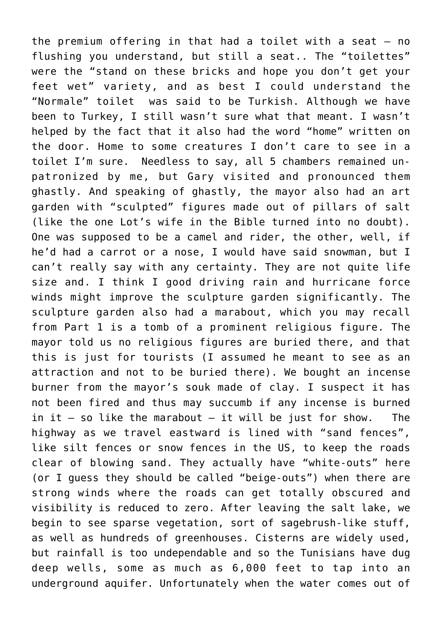the premium offering in that had a toilet with a seat – no flushing you understand, but still a seat.. The "toilettes" were the "stand on these bricks and hope you don't get your feet wet" variety, and as best I could understand the "Normale" toilet was said to be Turkish. Although we have been to Turkey, I still wasn't sure what that meant. I wasn't helped by the fact that it also had the word "home" written on the door. Home to some creatures I don't care to see in a toilet I'm sure. Needless to say, all 5 chambers remained unpatronized by me, but Gary visited and pronounced them ghastly. And speaking of ghastly, the mayor also had an art garden with "sculpted" figures made out of pillars of salt (like the one Lot's wife in the Bible turned into no doubt). One was supposed to be a camel and rider, the other, well, if he'd had a carrot or a nose, I would have said snowman, but I can't really say with any certainty. They are not quite life size and. I think I good driving rain and hurricane force winds might improve the sculpture garden significantly. The sculpture garden also had a marabout, which you may recall from Part 1 is a tomb of a prominent religious figure. The mayor told us no religious figures are buried there, and that this is just for tourists (I assumed he meant to see as an attraction and not to be buried there). We bought an incense burner from the mayor's souk made of clay. I suspect it has not been fired and thus may succumb if any incense is burned in it  $-$  so like the marabout  $-$  it will be just for show. The highway as we travel eastward is lined with "sand fences", like silt fences or snow fences in the US, to keep the roads clear of blowing sand. They actually have "white-outs" here (or I guess they should be called "beige-outs") when there are strong winds where the roads can get totally obscured and visibility is reduced to zero. After leaving the salt lake, we begin to see sparse vegetation, sort of sagebrush-like stuff, as well as hundreds of greenhouses. Cisterns are widely used, but rainfall is too undependable and so the Tunisians have dug deep wells, some as much as 6,000 feet to tap into an underground aquifer. Unfortunately when the water comes out of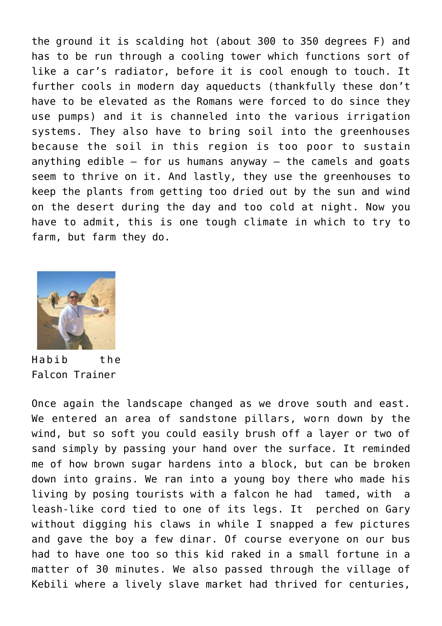the ground it is scalding hot (about 300 to 350 degrees F) and has to be run through a cooling tower which functions sort of like a car's radiator, before it is cool enough to touch. It further cools in modern day aqueducts (thankfully these don't have to be elevated as the Romans were forced to do since they use pumps) and it is channeled into the various irrigation systems. They also have to bring soil into the greenhouses because the soil in this region is too poor to sustain anything edible  $-$  for us humans anyway  $-$  the camels and goats seem to thrive on it. And lastly, they use the greenhouses to keep the plants from getting too dried out by the sun and wind on the desert during the day and too cold at night. Now you have to admit, this is one tough climate in which to try to farm, but farm they do.



Habib the Falcon Trainer

Once again the landscape changed as we drove south and east. We entered an area of sandstone pillars, worn down by the wind, but so soft you could easily brush off a layer or two of sand simply by passing your hand over the surface. It reminded me of how brown sugar hardens into a block, but can be broken down into grains. We ran into a young boy there who made his living by posing tourists with a falcon he had tamed, with a leash-like cord tied to one of its legs. It perched on Gary without digging his claws in while I snapped a few pictures and gave the boy a few dinar. Of course everyone on our bus had to have one too so this kid raked in a small fortune in a matter of 30 minutes. We also passed through the village of Kebili where a lively slave market had thrived for centuries,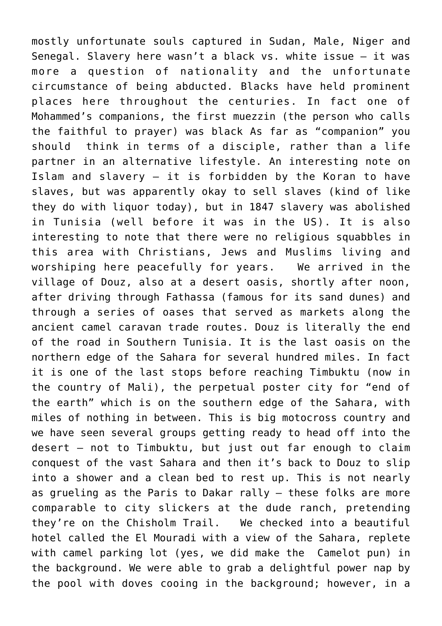mostly unfortunate souls captured in Sudan, Male, Niger and Senegal. Slavery here wasn't a black vs. white issue – it was more a question of nationality and the unfortunate circumstance of being abducted. Blacks have held prominent places here throughout the centuries. In fact one of Mohammed's companions, the first muezzin (the person who calls the faithful to prayer) was black As far as "companion" you should think in terms of a disciple, rather than a life partner in an alternative lifestyle. An interesting note on Islam and slavery – it is forbidden by the Koran to have slaves, but was apparently okay to sell slaves (kind of like they do with liquor today), but in 1847 slavery was abolished in Tunisia (well before it was in the US). It is also interesting to note that there were no religious squabbles in this area with Christians, Jews and Muslims living and worshiping here peacefully for years. We arrived in the village of Douz, also at a desert oasis, shortly after noon, after driving through Fathassa (famous for its sand dunes) and through a series of oases that served as markets along the ancient camel caravan trade routes. Douz is literally the end of the road in Southern Tunisia. It is the last oasis on the northern edge of the Sahara for several hundred miles. In fact it is one of the last stops before reaching Timbuktu (now in the country of Mali), the perpetual poster city for "end of the earth" which is on the southern edge of the Sahara, with miles of nothing in between. This is big motocross country and we have seen several groups getting ready to head off into the desert – not to Timbuktu, but just out far enough to claim conquest of the vast Sahara and then it's back to Douz to slip into a shower and a clean bed to rest up. This is not nearly as grueling as the Paris to Dakar rally – these folks are more comparable to city slickers at the dude ranch, pretending they're on the Chisholm Trail. We checked into a beautiful hotel called the El Mouradi with a view of the Sahara, replete with camel parking lot (yes, we did make the Camelot pun) in the background. We were able to grab a delightful power nap by the pool with doves cooing in the background; however, in a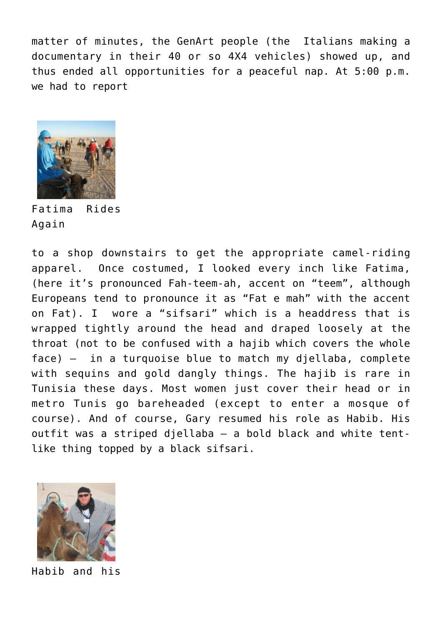matter of minutes, the GenArt people (the Italians making a documentary in their 40 or so 4X4 vehicles) showed up, and thus ended all opportunities for a peaceful nap. At 5:00 p.m. we had to report



Fatima Rides Again

to a shop downstairs to get the appropriate camel-riding apparel. Once costumed, I looked every inch like Fatima, (here it's pronounced Fah-teem-ah, accent on "teem", although Europeans tend to pronounce it as "Fat e mah" with the accent on Fat). I wore a "sifsari" which is a headdress that is wrapped tightly around the head and draped loosely at the throat (not to be confused with a hajib which covers the whole face) – in a turquoise blue to match my djellaba, complete with sequins and gold dangly things. The hajib is rare in Tunisia these days. Most women just cover their head or in metro Tunis go bareheaded (except to enter a mosque of course). And of course, Gary resumed his role as Habib. His outfit was a striped djellaba – a bold black and white tentlike thing topped by a black sifsari.



Habib and his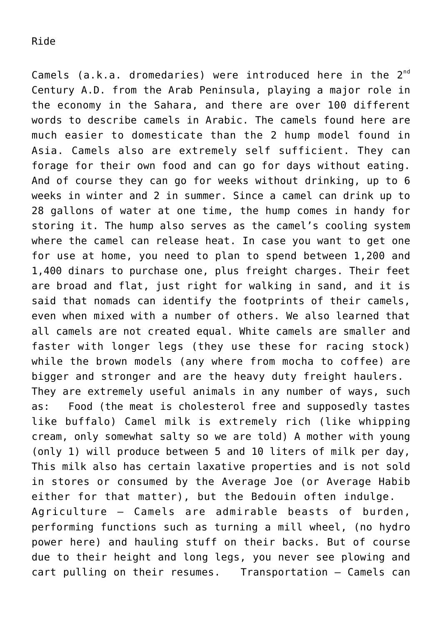# Ride

Camels (a.k.a. dromedaries) were introduced here in the 2<sup>nd</sup> Century A.D. from the Arab Peninsula, playing a major role in the economy in the Sahara, and there are over 100 different words to describe camels in Arabic. The camels found here are much easier to domesticate than the 2 hump model found in Asia. Camels also are extremely self sufficient. They can forage for their own food and can go for days without eating. And of course they can go for weeks without drinking, up to 6 weeks in winter and 2 in summer. Since a camel can drink up to 28 gallons of water at one time, the hump comes in handy for storing it. The hump also serves as the camel's cooling system where the camel can release heat. In case you want to get one for use at home, you need to plan to spend between 1,200 and 1,400 dinars to purchase one, plus freight charges. Their feet are broad and flat, just right for walking in sand, and it is said that nomads can identify the footprints of their camels, even when mixed with a number of others. We also learned that all camels are not created equal. White camels are smaller and faster with longer legs (they use these for racing stock) while the brown models (any where from mocha to coffee) are bigger and stronger and are the heavy duty freight haulers. They are extremely useful animals in any number of ways, such as: Food (the meat is cholesterol free and supposedly tastes like buffalo) Camel milk is extremely rich (like whipping cream, only somewhat salty so we are told) A mother with young (only 1) will produce between 5 and 10 liters of milk per day, This milk also has certain laxative properties and is not sold in stores or consumed by the Average Joe (or Average Habib either for that matter), but the Bedouin often indulge. Agriculture – Camels are admirable beasts of burden, performing functions such as turning a mill wheel, (no hydro power here) and hauling stuff on their backs. But of course due to their height and long legs, you never see plowing and cart pulling on their resumes. Transportation – Camels can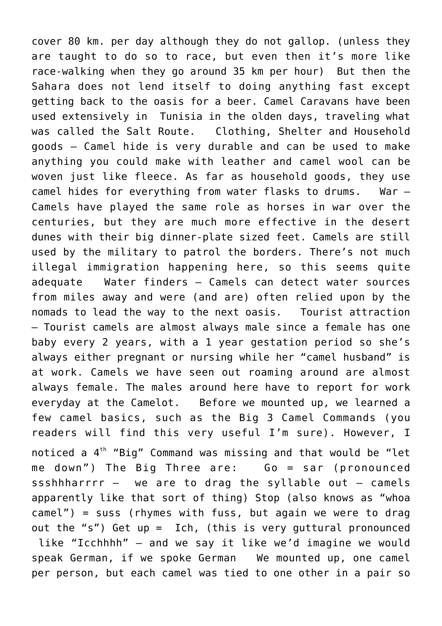cover 80 km. per day although they do not gallop. (unless they are taught to do so to race, but even then it's more like race-walking when they go around 35 km per hour) But then the Sahara does not lend itself to doing anything fast except getting back to the oasis for a beer. Camel Caravans have been used extensively in Tunisia in the olden days, traveling what was called the Salt Route. Clothing, Shelter and Household goods – Camel hide is very durable and can be used to make anything you could make with leather and camel wool can be woven just like fleece. As far as household goods, they use camel hides for everything from water flasks to drums. War – Camels have played the same role as horses in war over the centuries, but they are much more effective in the desert dunes with their big dinner-plate sized feet. Camels are still used by the military to patrol the borders. There's not much illegal immigration happening here, so this seems quite adequate Water finders – Camels can detect water sources from miles away and were (and are) often relied upon by the nomads to lead the way to the next oasis. Tourist attraction – Tourist camels are almost always male since a female has one baby every 2 years, with a 1 year gestation period so she's always either pregnant or nursing while her "camel husband" is at work. Camels we have seen out roaming around are almost always female. The males around here have to report for work everyday at the Camelot. Before we mounted up, we learned a few camel basics, such as the Big 3 Camel Commands (you readers will find this very useful I'm sure). However, I noticed a 4<sup>th</sup> "Big" Command was missing and that would be "let me down") The Big Three are: Go = sar (pronounced ssshhharrrr – we are to drag the syllable out – camels apparently like that sort of thing) Stop (also knows as "whoa camel") = suss (rhymes with fuss, but again we were to drag out the "s") Get up = Ich, (this is very guttural pronounced like "Icchhhh" – and we say it like we'd imagine we would speak German, if we spoke German We mounted up, one camel per person, but each camel was tied to one other in a pair so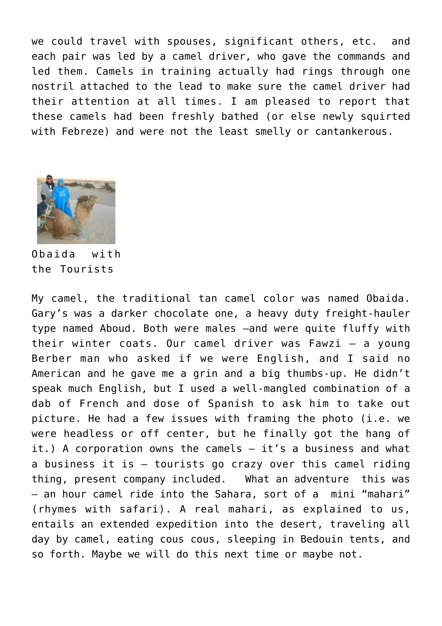we could travel with spouses, significant others, etc. and each pair was led by a camel driver, who gave the commands and led them. Camels in training actually had rings through one nostril attached to the lead to make sure the camel driver had their attention at all times. I am pleased to report that these camels had been freshly bathed (or else newly squirted with Febreze) and were not the least smelly or cantankerous.



Obaida with the Tourists

My camel, the traditional tan camel color was named Obaida. Gary's was a darker chocolate one, a heavy duty freight-hauler type named Aboud. Both were males –and were quite fluffy with their winter coats. Our camel driver was Fawzi – a young Berber man who asked if we were English, and I said no American and he gave me a grin and a big thumbs-up. He didn't speak much English, but I used a well-mangled combination of a dab of French and dose of Spanish to ask him to take out picture. He had a few issues with framing the photo (i.e. we were headless or off center, but he finally got the hang of it.) A corporation owns the camels - it's a business and what a business it is – tourists go crazy over this camel riding thing, present company included. What an adventure this was – an hour camel ride into the Sahara, sort of a mini "mahari" (rhymes with safari). A real mahari, as explained to us, entails an extended expedition into the desert, traveling all day by camel, eating cous cous, sleeping in Bedouin tents, and so forth. Maybe we will do this next time or maybe not.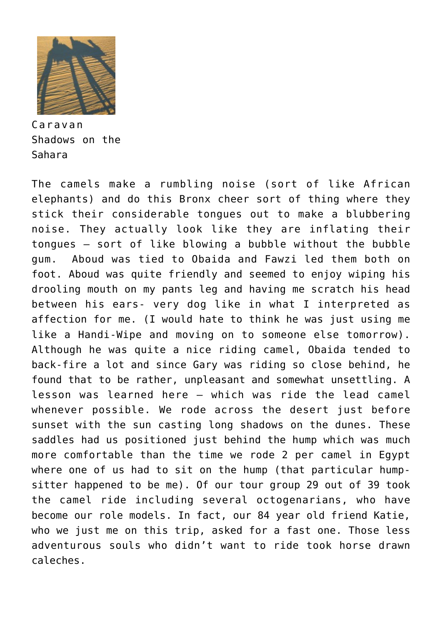

Caravan Shadows on the Sahara

The camels make a rumbling noise (sort of like African elephants) and do this Bronx cheer sort of thing where they stick their considerable tongues out to make a blubbering noise. They actually look like they are inflating their tongues – sort of like blowing a bubble without the bubble gum. Aboud was tied to Obaida and Fawzi led them both on foot. Aboud was quite friendly and seemed to enjoy wiping his drooling mouth on my pants leg and having me scratch his head between his ears- very dog like in what I interpreted as affection for me. (I would hate to think he was just using me like a Handi-Wipe and moving on to someone else tomorrow). Although he was quite a nice riding camel, Obaida tended to back-fire a lot and since Gary was riding so close behind, he found that to be rather, unpleasant and somewhat unsettling. A lesson was learned here – which was ride the lead camel whenever possible. We rode across the desert just before sunset with the sun casting long shadows on the dunes. These saddles had us positioned just behind the hump which was much more comfortable than the time we rode 2 per camel in Egypt where one of us had to sit on the hump (that particular humpsitter happened to be me). Of our tour group 29 out of 39 took the camel ride including several octogenarians, who have become our role models. In fact, our 84 year old friend Katie, who we just me on this trip, asked for a fast one. Those less adventurous souls who didn't want to ride took horse drawn caleches.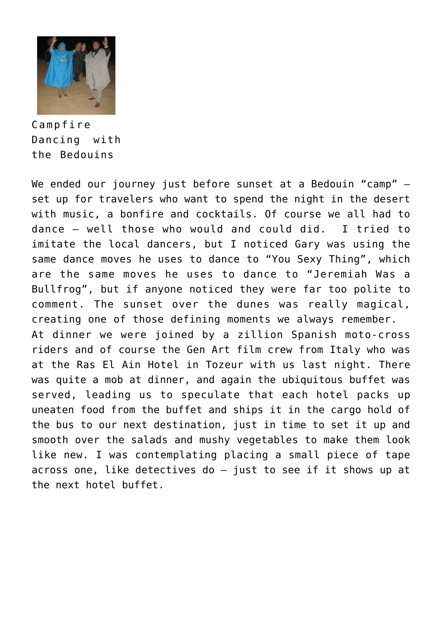

Campfire Dancing with the Bedouins

We ended our journey just before sunset at a Bedouin "camp" set up for travelers who want to spend the night in the desert with music, a bonfire and cocktails. Of course we all had to dance – well those who would and could did. I tried to imitate the local dancers, but I noticed Gary was using the same dance moves he uses to dance to "You Sexy Thing", which are the same moves he uses to dance to "Jeremiah Was a Bullfrog", but if anyone noticed they were far too polite to comment. The sunset over the dunes was really magical, creating one of those defining moments we always remember. At dinner we were joined by a zillion Spanish moto-cross riders and of course the Gen Art film crew from Italy who was at the Ras El Ain Hotel in Tozeur with us last night. There was quite a mob at dinner, and again the ubiquitous buffet was served, leading us to speculate that each hotel packs up uneaten food from the buffet and ships it in the cargo hold of the bus to our next destination, just in time to set it up and smooth over the salads and mushy vegetables to make them look like new. I was contemplating placing a small piece of tape across one, like detectives do – just to see if it shows up at the next hotel buffet.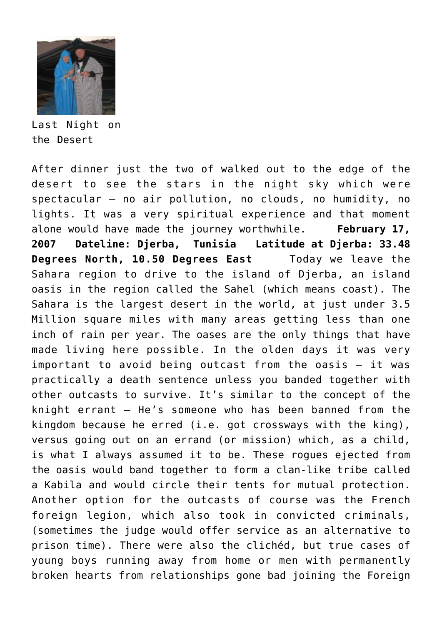

Last Night on the Desert

After dinner just the two of walked out to the edge of the desert to see the stars in the night sky which were spectacular – no air pollution, no clouds, no humidity, no lights. It was a very spiritual experience and that moment alone would have made the journey worthwhile. **February 17, 2007 Dateline: Djerba, Tunisia Latitude at Djerba: 33.48 Degrees North, 10.50 Degrees East** Today we leave the Sahara region to drive to the island of Dierba, an island oasis in the region called the Sahel (which means coast). The Sahara is the largest desert in the world, at just under 3.5 Million square miles with many areas getting less than one inch of rain per year. The oases are the only things that have made living here possible. In the olden days it was very important to avoid being outcast from the oasis – it was practically a death sentence unless you banded together with other outcasts to survive. It's similar to the concept of the knight errant – He's someone who has been banned from the kingdom because he erred (i.e. got crossways with the king), versus going out on an errand (or mission) which, as a child, is what I always assumed it to be. These rogues ejected from the oasis would band together to form a clan-like tribe called a Kabila and would circle their tents for mutual protection. Another option for the outcasts of course was the French foreign legion, which also took in convicted criminals, (sometimes the judge would offer service as an alternative to prison time). There were also the clichéd, but true cases of young boys running away from home or men with permanently broken hearts from relationships gone bad joining the Foreign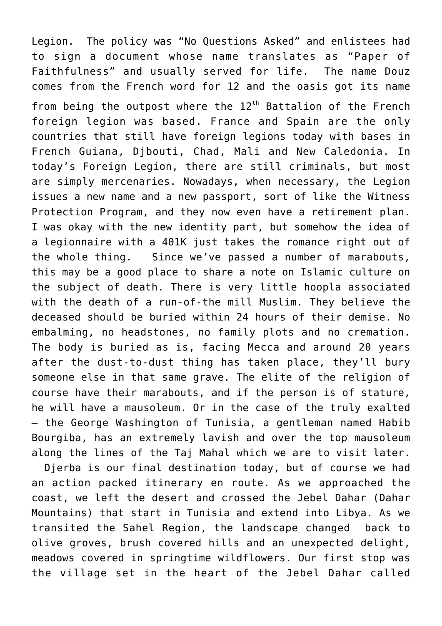Legion. The policy was "No Questions Asked" and enlistees had to sign a document whose name translates as "Paper of Faithfulness" and usually served for life. The name Douz comes from the French word for 12 and the oasis got its name

from being the outpost where the  $12^{th}$  Battalion of the French foreign legion was based. France and Spain are the only countries that still have foreign legions today with bases in French Guiana, Djbouti, Chad, Mali and New Caledonia. In today's Foreign Legion, there are still criminals, but most are simply mercenaries. Nowadays, when necessary, the Legion issues a new name and a new passport, sort of like the Witness Protection Program, and they now even have a retirement plan. I was okay with the new identity part, but somehow the idea of a legionnaire with a 401K just takes the romance right out of the whole thing. Since we've passed a number of marabouts, this may be a good place to share a note on Islamic culture on the subject of death. There is very little hoopla associated with the death of a run-of-the mill Muslim. They believe the deceased should be buried within 24 hours of their demise. No embalming, no headstones, no family plots and no cremation. The body is buried as is, facing Mecca and around 20 years after the dust-to-dust thing has taken place, they'll bury someone else in that same grave. The elite of the religion of course have their marabouts, and if the person is of stature, he will have a mausoleum. Or in the case of the truly exalted – the George Washington of Tunisia, a gentleman named Habib Bourgiba, has an extremely lavish and over the top mausoleum along the lines of the Taj Mahal which we are to visit later.

 Djerba is our final destination today, but of course we had an action packed itinerary en route. As we approached the coast, we left the desert and crossed the Jebel Dahar (Dahar Mountains) that start in Tunisia and extend into Libya. As we transited the Sahel Region, the landscape changed back to olive groves, brush covered hills and an unexpected delight, meadows covered in springtime wildflowers. Our first stop was the village set in the heart of the Jebel Dahar called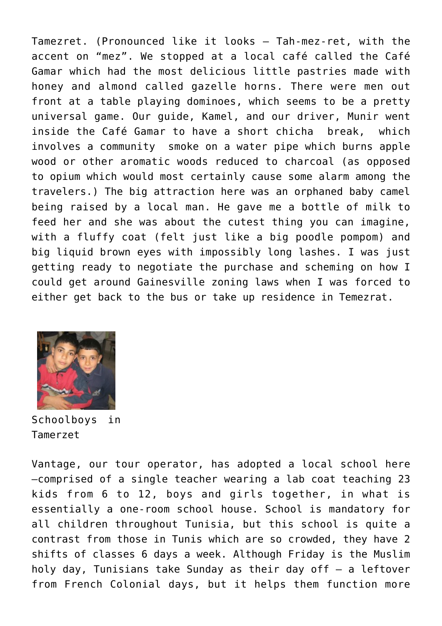Tamezret. (Pronounced like it looks – Tah-mez-ret, with the accent on "mez". We stopped at a local café called the Café Gamar which had the most delicious little pastries made with honey and almond called gazelle horns. There were men out front at a table playing dominoes, which seems to be a pretty universal game. Our guide, Kamel, and our driver, Munir went inside the Café Gamar to have a short chicha break, which involves a community smoke on a water pipe which burns apple wood or other aromatic woods reduced to charcoal (as opposed to opium which would most certainly cause some alarm among the travelers.) The big attraction here was an orphaned baby camel being raised by a local man. He gave me a bottle of milk to feed her and she was about the cutest thing you can imagine, with a fluffy coat (felt just like a big poodle pompom) and big liquid brown eyes with impossibly long lashes. I was just getting ready to negotiate the purchase and scheming on how I could get around Gainesville zoning laws when I was forced to either get back to the bus or take up residence in Temezrat.



Schoolboys in Tamerzet

Vantage, our tour operator, has adopted a local school here –comprised of a single teacher wearing a lab coat teaching 23 kids from 6 to 12, boys and girls together, in what is essentially a one-room school house. School is mandatory for all children throughout Tunisia, but this school is quite a contrast from those in Tunis which are so crowded, they have 2 shifts of classes 6 days a week. Although Friday is the Muslim holy day, Tunisians take Sunday as their day off – a leftover from French Colonial days, but it helps them function more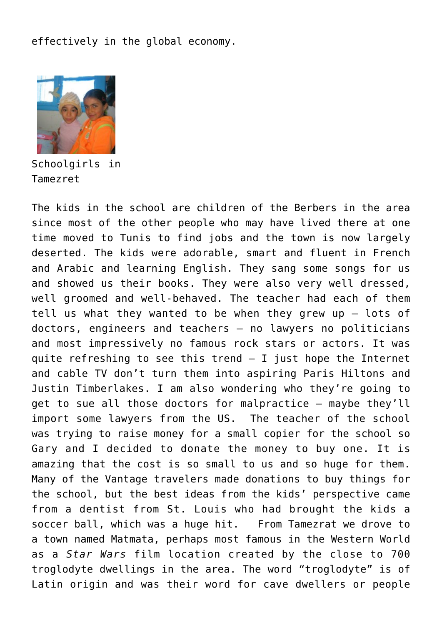effectively in the global economy.



Schoolgirls in Tamezret

The kids in the school are children of the Berbers in the area since most of the other people who may have lived there at one time moved to Tunis to find jobs and the town is now largely deserted. The kids were adorable, smart and fluent in French and Arabic and learning English. They sang some songs for us and showed us their books. They were also very well dressed, well groomed and well-behaved. The teacher had each of them tell us what they wanted to be when they grew up – lots of doctors, engineers and teachers – no lawyers no politicians and most impressively no famous rock stars or actors. It was quite refreshing to see this trend  $-$  I just hope the Internet and cable TV don't turn them into aspiring Paris Hiltons and Justin Timberlakes. I am also wondering who they're going to get to sue all those doctors for malpractice – maybe they'll import some lawyers from the US. The teacher of the school was trying to raise money for a small copier for the school so Gary and I decided to donate the money to buy one. It is amazing that the cost is so small to us and so huge for them. Many of the Vantage travelers made donations to buy things for the school, but the best ideas from the kids' perspective came from a dentist from St. Louis who had brought the kids a soccer ball, which was a huge hit. From Tamezrat we drove to a town named Matmata, perhaps most famous in the Western World as a *Star Wars* film location created by the close to 700 troglodyte dwellings in the area. The word "troglodyte" is of Latin origin and was their word for cave dwellers or people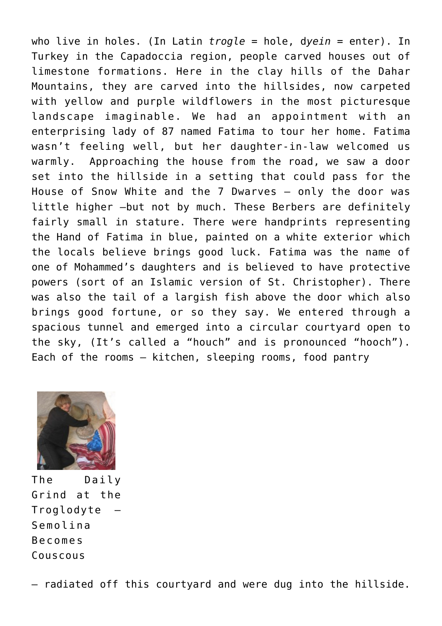who live in holes. (In Latin *trogle* = hole, d*yein* = enter). In Turkey in the Capadoccia region, people carved houses out of limestone formations. Here in the clay hills of the Dahar Mountains, they are carved into the hillsides, now carpeted with yellow and purple wildflowers in the most picturesque landscape imaginable. We had an appointment with an enterprising lady of 87 named Fatima to tour her home. Fatima wasn't feeling well, but her daughter-in-law welcomed us warmly. Approaching the house from the road, we saw a door set into the hillside in a setting that could pass for the House of Snow White and the 7 Dwarves – only the door was little higher –but not by much. These Berbers are definitely fairly small in stature. There were handprints representing the Hand of Fatima in blue, painted on a white exterior which the locals believe brings good luck. Fatima was the name of one of Mohammed's daughters and is believed to have protective powers (sort of an Islamic version of St. Christopher). There was also the tail of a largish fish above the door which also brings good fortune, or so they say. We entered through a spacious tunnel and emerged into a circular courtyard open to the sky, (It's called a "houch" and is pronounced "hooch"). Each of the rooms – kitchen, sleeping rooms, food pantry



The Daily Grind at the Troglodyte – Semolina Becomes Couscous

– radiated off this courtyard and were dug into the hillside.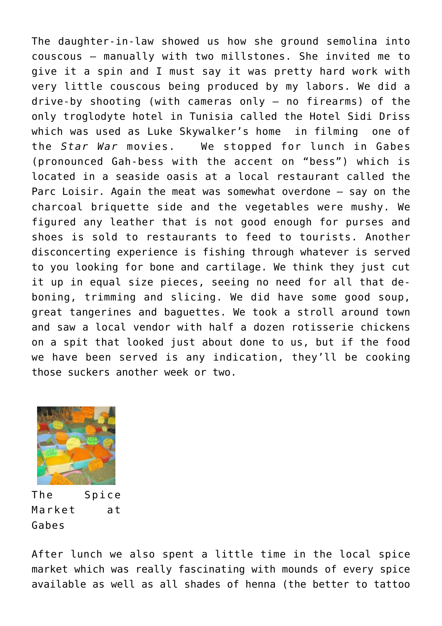The daughter-in-law showed us how she ground semolina into couscous – manually with two millstones. She invited me to give it a spin and I must say it was pretty hard work with very little couscous being produced by my labors. We did a drive-by shooting (with cameras only – no firearms) of the only troglodyte hotel in Tunisia called the Hotel Sidi Driss which was used as Luke Skywalker's home in filming one of the *Star War* movies. We stopped for lunch in Gabes (pronounced Gah-bess with the accent on "bess") which is located in a seaside oasis at a local restaurant called the Parc Loisir. Again the meat was somewhat overdone – say on the charcoal briquette side and the vegetables were mushy. We figured any leather that is not good enough for purses and shoes is sold to restaurants to feed to tourists. Another disconcerting experience is fishing through whatever is served to you looking for bone and cartilage. We think they just cut it up in equal size pieces, seeing no need for all that deboning, trimming and slicing. We did have some good soup, great tangerines and baguettes. We took a stroll around town and saw a local vendor with half a dozen rotisserie chickens on a spit that looked just about done to us, but if the food we have been served is any indication, they'll be cooking those suckers another week or two.



The Spice Market at Gabes

After lunch we also spent a little time in the local spice market which was really fascinating with mounds of every spice available as well as all shades of henna (the better to tattoo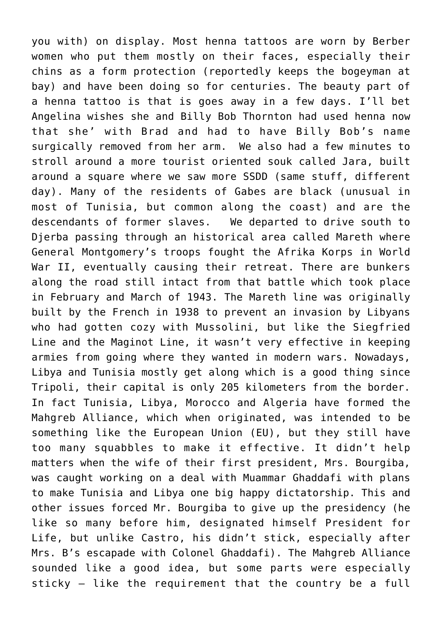you with) on display. Most henna tattoos are worn by Berber women who put them mostly on their faces, especially their chins as a form protection (reportedly keeps the bogeyman at bay) and have been doing so for centuries. The beauty part of a henna tattoo is that is goes away in a few days. I'll bet Angelina wishes she and Billy Bob Thornton had used henna now that she' with Brad and had to have Billy Bob's name surgically removed from her arm. We also had a few minutes to stroll around a more tourist oriented souk called Jara, built around a square where we saw more SSDD (same stuff, different day). Many of the residents of Gabes are black (unusual in most of Tunisia, but common along the coast) and are the descendants of former slaves. We departed to drive south to Djerba passing through an historical area called Mareth where General Montgomery's troops fought the Afrika Korps in World War II, eventually causing their retreat. There are bunkers along the road still intact from that battle which took place in February and March of 1943. The Mareth line was originally built by the French in 1938 to prevent an invasion by Libyans who had gotten cozy with Mussolini, but like the Siegfried Line and the Maginot Line, it wasn't very effective in keeping armies from going where they wanted in modern wars. Nowadays, Libya and Tunisia mostly get along which is a good thing since Tripoli, their capital is only 205 kilometers from the border. In fact Tunisia, Libya, Morocco and Algeria have formed the Mahgreb Alliance, which when originated, was intended to be something like the European Union (EU), but they still have too many squabbles to make it effective. It didn't help matters when the wife of their first president, Mrs. Bourgiba, was caught working on a deal with Muammar Ghaddafi with plans to make Tunisia and Libya one big happy dictatorship. This and other issues forced Mr. Bourgiba to give up the presidency (he like so many before him, designated himself President for Life, but unlike Castro, his didn't stick, especially after Mrs. B's escapade with Colonel Ghaddafi). The Mahgreb Alliance sounded like a good idea, but some parts were especially sticky – like the requirement that the country be a full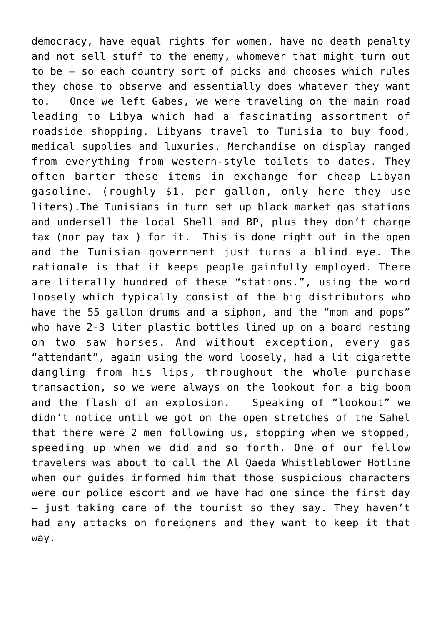democracy, have equal rights for women, have no death penalty and not sell stuff to the enemy, whomever that might turn out to be – so each country sort of picks and chooses which rules they chose to observe and essentially does whatever they want to. Once we left Gabes, we were traveling on the main road leading to Libya which had a fascinating assortment of roadside shopping. Libyans travel to Tunisia to buy food, medical supplies and luxuries. Merchandise on display ranged from everything from western-style toilets to dates. They often barter these items in exchange for cheap Libyan gasoline. (roughly \$1. per gallon, only here they use liters).The Tunisians in turn set up black market gas stations and undersell the local Shell and BP, plus they don't charge tax (nor pay tax ) for it. This is done right out in the open and the Tunisian government just turns a blind eye. The rationale is that it keeps people gainfully employed. There are literally hundred of these "stations.", using the word loosely which typically consist of the big distributors who have the 55 gallon drums and a siphon, and the "mom and pops" who have 2-3 liter plastic bottles lined up on a board resting on two saw horses. And without exception, every gas "attendant", again using the word loosely, had a lit cigarette dangling from his lips, throughout the whole purchase transaction, so we were always on the lookout for a big boom and the flash of an explosion. Speaking of "lookout" we didn't notice until we got on the open stretches of the Sahel that there were 2 men following us, stopping when we stopped, speeding up when we did and so forth. One of our fellow travelers was about to call the Al Qaeda Whistleblower Hotline when our guides informed him that those suspicious characters were our police escort and we have had one since the first day – just taking care of the tourist so they say. They haven't had any attacks on foreigners and they want to keep it that way.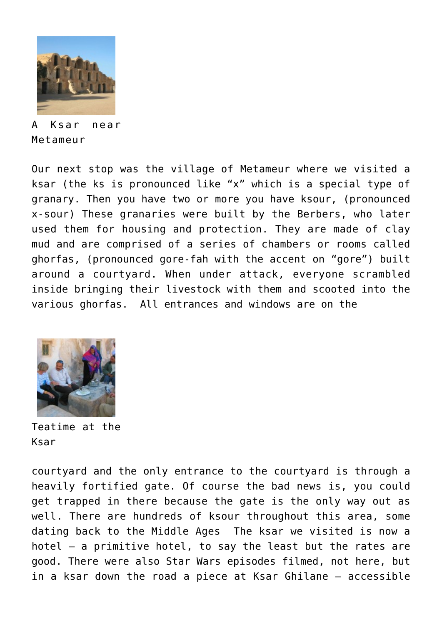

A Ksar near Metameur

Our next stop was the village of Metameur where we visited a ksar (the ks is pronounced like "x" which is a special type of granary. Then you have two or more you have ksour, (pronounced x-sour) These granaries were built by the Berbers, who later used them for housing and protection. They are made of clay mud and are comprised of a series of chambers or rooms called ghorfas, (pronounced gore-fah with the accent on "gore") built around a courtyard. When under attack, everyone scrambled inside bringing their livestock with them and scooted into the various ghorfas. All entrances and windows are on the



Teatime at the Ksar

courtyard and the only entrance to the courtyard is through a heavily fortified gate. Of course the bad news is, you could get trapped in there because the gate is the only way out as well. There are hundreds of ksour throughout this area, some dating back to the Middle Ages The ksar we visited is now a hotel – a primitive hotel, to say the least but the rates are good. There were also Star Wars episodes filmed, not here, but in a ksar down the road a piece at Ksar Ghilane – accessible